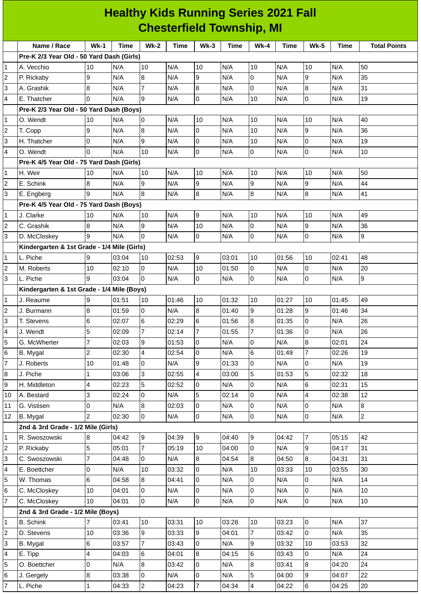| <b>Healthy Kids Running Series 2021 Fall</b><br><b>Chesterfield Township, MI</b> |                                             |                |       |                |       |                 |       |                |       |                |       |                     |
|----------------------------------------------------------------------------------|---------------------------------------------|----------------|-------|----------------|-------|-----------------|-------|----------------|-------|----------------|-------|---------------------|
|                                                                                  |                                             |                |       |                |       |                 |       |                |       |                |       |                     |
|                                                                                  | Name / Race                                 | $Wk-1$         | Time  | <b>Wk-2</b>    | Time  | $Wk-3$          | Time  | $Wk-4$         | Time  | <b>Wk-5</b>    | Time  | <b>Total Points</b> |
|                                                                                  | Pre-K 2/3 Year Old - 50 Yard Dash (Girls)   |                |       |                |       |                 |       |                |       |                |       |                     |
| 1                                                                                | A. Vecchio                                  | 10             | N/A   | 10             | N/A   | 10              | N/A   | 10             | N/A   | 10             | N/A   | 50                  |
| 2                                                                                | P. Rickaby                                  | 9              | N/A   | 8              | N/A   | 9               | N/A   | 0              | N/A   | 9              | N/A   | 35                  |
| 3                                                                                | A. Grashik                                  | 8              | N/A   | $\overline{7}$ | N/A   | $\overline{8}$  | N/A   | 0              | N/A   | $\overline{8}$ | N/A   | 31                  |
| 4                                                                                | E. Thatcher                                 | <sup>0</sup>   | N/A   | 9              | N/A   | 0               | N/A   | 10             | N/A   | 0              | N/A   | 19                  |
|                                                                                  | Pre-K 2/3 Year Old - 50 Yard Dash (Boys)    |                |       |                |       |                 |       |                |       |                |       |                     |
| 1                                                                                | O. Wendt                                    | 10             | N/A   | 0              | N/A   | 10              | N/A   | 10             | N/A   | 10             | N/A   | 40                  |
| 2                                                                                | T. Copp                                     | 9              | N/A   | 8              | N/A   | lo.             | N/A   | 10             | N/A   | 9              | N/A   | 36                  |
| 3                                                                                | H. Thatcher                                 | 0              | N/A   | 9              | N/A   | 0               | N/A   | 10             | N/A   | 0              | N/A   | 19                  |
| 4                                                                                | O. Wendt                                    | $\Omega$       | N/A   | 10             | N/A   | $\overline{0}$  | N/A   | 0              | N/A   | O              | N/A   | 10                  |
|                                                                                  | Pre-K 4/5 Year Old - 75 Yard Dash (Girls)   |                |       |                |       |                 |       |                |       |                |       |                     |
| 1                                                                                | H. Weir                                     | 10             | N/A   | 10             | N/A   | 10              | N/A   | 10             | N/A   | 10             | N/A   | 50                  |
| 2                                                                                | E. Schink                                   | 8              | N/A   | 9              | N/A   | 9               | N/A   | 9              | N/A   | 9              | N/A   | 44                  |
| 3                                                                                | E. Engberg                                  | 9              | N/A   | 8              | N/A   | $\bf{8}$        | N/A   | 8              | N/A   | $\overline{8}$ | N/A   | 41                  |
|                                                                                  | Pre-K 4/5 Year Old - 75 Yard Dash (Boys)    |                |       |                |       |                 |       |                |       |                |       |                     |
| 1                                                                                | J. Clarke                                   | 10             | N/A   | 10             | N/A   | 9               | N/A   | 10             | N/A   | 10             | N/A   | 49                  |
| 2                                                                                | C. Grashik                                  | 8              | N/A   | 9              | N/A   | 10              | N/A   | 0              | N/A   | 9              | N/A   | 36                  |
| 3                                                                                | D. McCloskey                                | 9              | N/A   | 0              | N/A   | 0               | N/A   | $\mathbf 0$    | N/A   | l0             | N/A   | 9                   |
|                                                                                  | Kindergarten & 1st Grade - 1/4 Mile (Girls) |                |       |                |       |                 |       |                |       |                |       |                     |
| 1                                                                                | L. Piche                                    | 9              | 03:04 | 10             | 02:53 | 9               | 03:01 | 10             | 01:56 | 10             | 02:41 | 48                  |
| 2                                                                                | M. Roberts                                  | 10             | 02:10 | 0              | N/A   | 10              | 01:50 | 0              | N/A   | $\overline{0}$ | N/A   | 20                  |
| 3                                                                                | L. Piche                                    | 9              | 03:04 | $\Omega$       | N/A   | 0               | N/A   | 0              | N/A   | l0             | N/A   | 9                   |
|                                                                                  | Kindergarten & 1st Grade - 1/4 Mile (Boys)  |                |       |                |       |                 |       |                |       |                |       |                     |
| 1                                                                                | J. Reaume                                   | 9              | 01:51 | 10             | 01:46 | 10              | 01:32 | 10             | 01:27 | 10             | 01:45 | 49                  |
| 2                                                                                | J. Burmann                                  | 8              | 01:59 | 0              | N/A   | 8               | 01:40 | 9              | 01:28 | 9              | 01:46 | 34                  |
| 3                                                                                | T. Stevens                                  | $\,$ 6         | 02:07 | 6              | 02:29 | $6\phantom{.}6$ | 01:56 | $\bf 8$        | 01:35 | l0             | N/A   | 26                  |
| 4                                                                                | J. Wendt                                    | 5              | 02:09 | $\overline{7}$ | 02:14 | $\overline{7}$  | 01:55 | 7              | 01:36 | $\overline{0}$ | N/A   | 26                  |
| 5                                                                                | G. McWherter                                | $\overline{7}$ | 02:03 | 9              | 01:53 | 0               | N/A   | $\mathsf 0$    | N/A   | $\overline{8}$ | 02:01 | 24                  |
| 6                                                                                | <b>B.</b> Mygal                             | $\overline{c}$ | 02:30 | 4              | 02:54 | 0               | N/A   | $\,$ 6         | 01:49 | $\overline{7}$ | 02:26 | 19                  |
| 7                                                                                | J. Roberts                                  | 10             | 01:48 | 0              | N/A   | 9               | 01:33 | $\mathsf 0$    | N/A   | lo             | N/A   | 19                  |
| 8                                                                                | J. Piche                                    | 1              | 03:06 | 3              | 02:55 | 4               | 03:00 | 5              | 01:53 | 5              | 02:32 | 18                  |
| 9                                                                                | H. Middleton                                | 4              | 02:23 | 5              | 02:52 | $\pmb{0}$       | N/A   | $\mathbf 0$    | N/A   | 6              | 02:31 | 15                  |
| 10                                                                               | A. Bestard                                  | 3              | 02:24 | 0              | N/A   | 5               | 02:14 | 0              | N/A   | $\overline{4}$ | 02:38 | 12                  |
| 11                                                                               | G. Vistisen                                 | 0              | N/A   | 8              | 02:03 | $\pmb{0}$       | N/A   | 0              | N/A   | lo             | N/A   | 8                   |
| 12                                                                               | B. Mygal                                    | $\overline{c}$ | 02:30 | $\overline{0}$ | N/A   | $\overline{0}$  | N/A   | 0              | N/A   | lo             | N/A   | $\overline{2}$      |
|                                                                                  | 2nd & 3rd Grade - 1/2 Mile (Girls)          |                |       |                |       |                 |       |                |       |                |       |                     |
| 1                                                                                | R. Swoszowski                               | 8              | 04:42 | $\overline{9}$ | 04:39 | 9               | 04:40 | 9              | 04:42 | 7              | 05:15 | 42                  |
| 2                                                                                | P. Rickaby                                  | 5              | 05:01 | $\overline{7}$ | 05:19 | 10              | 04:00 | $\mathsf{O}$   | N/A   | l9             | 04:17 | 31                  |
| 3                                                                                | C. Swoszowski                               | 7              | 04:48 | 0              | N/A   | 8               | 04:54 | 8              | 04:50 | 8              | 04:31 | 31                  |
| 4                                                                                | E. Boettcher                                | 0              | N/A   | 10             | 03:32 | $\pmb{0}$       | N/A   | 10             | 03:33 | 10             | 03:55 | 30                  |
| 5                                                                                | W. Thomas                                   | 6              | 04:58 | 8              | 04:41 | $\overline{0}$  | N/A   | 0              | N/A   | 0              | N/A   | 14                  |
| 6                                                                                | C. McCloskey                                | 10             | 04:01 | 0              | N/A   | $\mathsf 0$     | N/A   | 0              | N/A   | lo             | N/A   | 10                  |
| 7                                                                                | C. McCloskey                                | 10             | 04:01 | $\overline{0}$ | N/A   | $\overline{0}$  | N/A   | 0              | N/A   | lo             | N/A   | 10                  |
|                                                                                  | 2nd & 3rd Grade - 1/2 Mile (Boys)           |                |       |                |       |                 |       |                |       |                |       |                     |
| 1                                                                                | <b>B.</b> Schink                            | $\overline{7}$ | 03:41 | 10             | 03:31 | 10              | 03:28 | 10             | 03:23 | 0              | N/A   | 37                  |
| 2                                                                                | D. Stevens                                  | 10             | 03:36 | 9              | 03:33 | 9               | 04:01 | $\overline{7}$ | 03:42 | lo             | N/A   | 35                  |
| 3                                                                                | B. Mygal                                    | 6              | 03:57 | $\overline{7}$ | 03:43 | $\overline{0}$  | N/A   | 9              | 03:32 | 10             | 03:53 | 32                  |
| 4                                                                                | E. Tipp                                     | 4              | 04:03 | 6              | 04:01 | 8               | 04:15 | 6              | 03:43 | l0             | N/A   | 24                  |
| 5                                                                                | O. Boettcher                                | 0              | N/A   | 8              | 03:42 | $\overline{0}$  | N/A   | $\bf 8$        | 03:41 | 8              | 04:20 | 24                  |
| 6                                                                                | J. Gergely                                  | 8              | 03:38 | 0              | N/A   | $\mathsf 0$     | N/A   | 5              | 04:00 | g              | 04:07 | 22                  |

7 |L. Piche |1 |04:33 |2 |04:23 |7 |04:34 |4 |04:22 |6 |04:25 |20